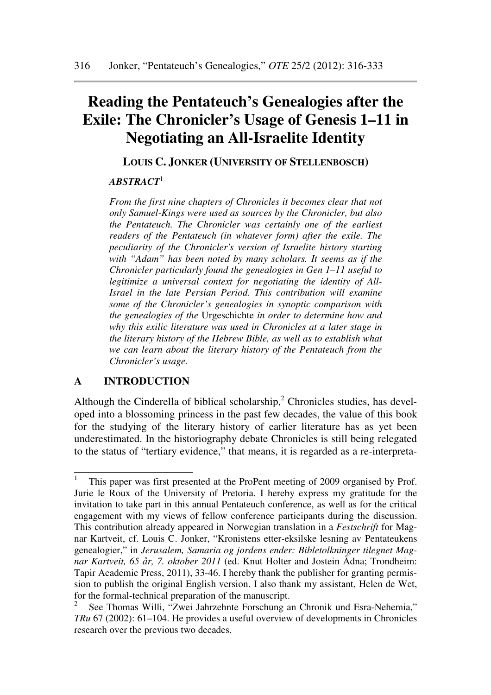# **Reading the Pentateuch's Genealogies after the Exile: The Chronicler's Usage of Genesis 1–11 in Negotiating an All-Israelite Identity**

**LOUIS C. JONKER (UNIVERSITY OF STELLENBOSCH)** 

## *ABSTRACT*<sup>1</sup>

*From the first nine chapters of Chronicles it becomes clear that not only Samuel-Kings were used as sources by the Chronicler, but also the Pentateuch. The Chronicler was certainly one of the earliest readers of the Pentateuch (in whatever form) after the exile. The peculiarity of the Chronicler's version of Israelite history starting with "Adam" has been noted by many scholars. It seems as if the Chronicler particularly found the genealogies in Gen 1–11 useful to legitimize a universal context for negotiating the identity of All-Israel in the late Persian Period. This contribution will examine some of the Chronicler's genealogies in synoptic comparison with the genealogies of the* Urgeschichte *in order to determine how and why this exilic literature was used in Chronicles at a later stage in the literary history of the Hebrew Bible, as well as to establish what we can learn about the literary history of the Pentateuch from the Chronicler's usage.* 

## **A INTRODUCTION**

l

Although the Cinderella of biblical scholarship, $<sup>2</sup>$  Chronicles studies, has devel-</sup> oped into a blossoming princess in the past few decades, the value of this book for the studying of the literary history of earlier literature has as yet been underestimated. In the historiography debate Chronicles is still being relegated to the status of "tertiary evidence," that means, it is regarded as a re-interpreta-

<sup>1</sup> This paper was first presented at the ProPent meeting of 2009 organised by Prof. Jurie le Roux of the University of Pretoria. I hereby express my gratitude for the invitation to take part in this annual Pentateuch conference, as well as for the critical engagement with my views of fellow conference participants during the discussion. This contribution already appeared in Norwegian translation in a *Festschrift* for Magnar Kartveit, cf. Louis C. Jonker, "Kronistens etter-eksilske lesning av Pentateukens genealogier," in *Jerusalem, Samaria og jordens ender: Bibletolkninger tilegnet Magnar Kartveit, 65 år, 7. oktober 2011* (ed. Knut Holter and Jostein Ådna; Trondheim: Tapir Academic Press, 2011), 33-46. I hereby thank the publisher for granting permission to publish the original English version. I also thank my assistant, Helen de Wet, for the formal-technical preparation of the manuscript.

<sup>2</sup> See Thomas Willi, "Zwei Jahrzehnte Forschung an Chronik und Esra-Nehemia," *TRu* 67 (2002): 61–104. He provides a useful overview of developments in Chronicles research over the previous two decades.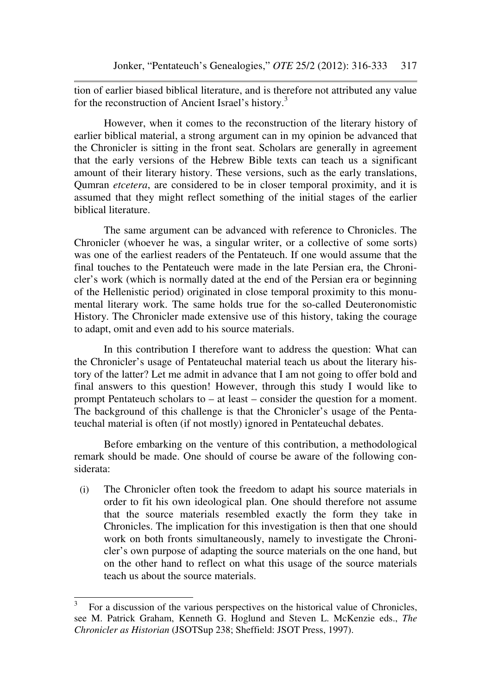tion of earlier biased biblical literature, and is therefore not attributed any value for the reconstruction of Ancient Israel's history.<sup>3</sup>

However, when it comes to the reconstruction of the literary history of earlier biblical material, a strong argument can in my opinion be advanced that the Chronicler is sitting in the front seat. Scholars are generally in agreement that the early versions of the Hebrew Bible texts can teach us a significant amount of their literary history. These versions, such as the early translations, Qumran *etcetera*, are considered to be in closer temporal proximity, and it is assumed that they might reflect something of the initial stages of the earlier biblical literature.

The same argument can be advanced with reference to Chronicles. The Chronicler (whoever he was, a singular writer, or a collective of some sorts) was one of the earliest readers of the Pentateuch. If one would assume that the final touches to the Pentateuch were made in the late Persian era, the Chronicler's work (which is normally dated at the end of the Persian era or beginning of the Hellenistic period) originated in close temporal proximity to this monumental literary work. The same holds true for the so-called Deuteronomistic History. The Chronicler made extensive use of this history, taking the courage to adapt, omit and even add to his source materials.

In this contribution I therefore want to address the question: What can the Chronicler's usage of Pentateuchal material teach us about the literary history of the latter? Let me admit in advance that I am not going to offer bold and final answers to this question! However, through this study I would like to prompt Pentateuch scholars to – at least – consider the question for a moment. The background of this challenge is that the Chronicler's usage of the Pentateuchal material is often (if not mostly) ignored in Pentateuchal debates.

Before embarking on the venture of this contribution, a methodological remark should be made. One should of course be aware of the following considerata:

(i) The Chronicler often took the freedom to adapt his source materials in order to fit his own ideological plan. One should therefore not assume that the source materials resembled exactly the form they take in Chronicles. The implication for this investigation is then that one should work on both fronts simultaneously, namely to investigate the Chronicler's own purpose of adapting the source materials on the one hand, but on the other hand to reflect on what this usage of the source materials teach us about the source materials.

<sup>3</sup> For a discussion of the various perspectives on the historical value of Chronicles, see M. Patrick Graham, Kenneth G. Hoglund and Steven L. McKenzie eds., *The Chronicler as Historian* (JSOTSup 238; Sheffield: JSOT Press, 1997).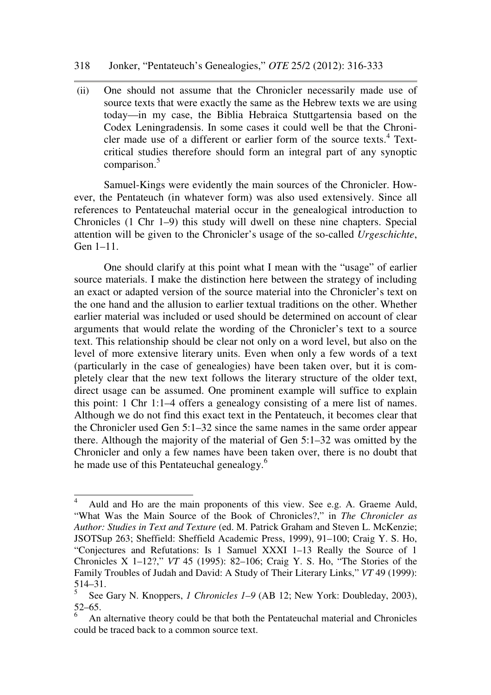#### 318 Jonker, "Pentateuch's Genealogies," *OTE* 25/2 (2012): 316-333

(ii) One should not assume that the Chronicler necessarily made use of source texts that were exactly the same as the Hebrew texts we are using today—in my case, the Biblia Hebraica Stuttgartensia based on the Codex Leningradensis. In some cases it could well be that the Chronicler made use of a different or earlier form of the source texts.<sup>4</sup> Textcritical studies therefore should form an integral part of any synoptic comparison.<sup>5</sup>

Samuel-Kings were evidently the main sources of the Chronicler. However, the Pentateuch (in whatever form) was also used extensively. Since all references to Pentateuchal material occur in the genealogical introduction to Chronicles (1 Chr 1–9) this study will dwell on these nine chapters. Special attention will be given to the Chronicler's usage of the so-called *Urgeschichte*, Gen 1–11.

One should clarify at this point what I mean with the "usage" of earlier source materials. I make the distinction here between the strategy of including an exact or adapted version of the source material into the Chronicler's text on the one hand and the allusion to earlier textual traditions on the other. Whether earlier material was included or used should be determined on account of clear arguments that would relate the wording of the Chronicler's text to a source text. This relationship should be clear not only on a word level, but also on the level of more extensive literary units. Even when only a few words of a text (particularly in the case of genealogies) have been taken over, but it is completely clear that the new text follows the literary structure of the older text, direct usage can be assumed. One prominent example will suffice to explain this point: 1 Chr 1:1–4 offers a genealogy consisting of a mere list of names. Although we do not find this exact text in the Pentateuch, it becomes clear that the Chronicler used Gen 5:1–32 since the same names in the same order appear there. Although the majority of the material of Gen 5:1–32 was omitted by the Chronicler and only a few names have been taken over, there is no doubt that he made use of this Pentateuchal genealogy.<sup>6</sup>

ı

<sup>4</sup> Auld and Ho are the main proponents of this view. See e.g. A. Graeme Auld, "What Was the Main Source of the Book of Chronicles?," in *The Chronicler as Author: Studies in Text and Texture* (ed. M. Patrick Graham and Steven L. McKenzie; JSOTSup 263; Sheffield: Sheffield Academic Press, 1999), 91–100; Craig Y. S. Ho, "Conjectures and Refutations: Is 1 Samuel XXXI 1–13 Really the Source of 1 Chronicles X 1–12?," *VT* 45 (1995): 82–106; Craig Y. S. Ho, "The Stories of the Family Troubles of Judah and David: A Study of Their Literary Links," *VT* 49 (1999):  $514-31.$ 

See Gary N. Knoppers, *1 Chronicles 1–9* (AB 12; New York: Doubleday, 2003), 52–65.

<sup>6</sup> An alternative theory could be that both the Pentateuchal material and Chronicles could be traced back to a common source text.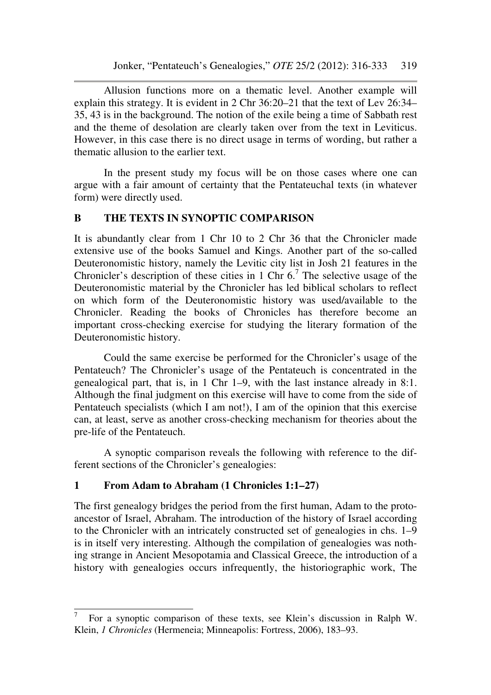Allusion functions more on a thematic level. Another example will explain this strategy. It is evident in 2 Chr 36:20–21 that the text of Lev 26:34– 35, 43 is in the background. The notion of the exile being a time of Sabbath rest and the theme of desolation are clearly taken over from the text in Leviticus. However, in this case there is no direct usage in terms of wording, but rather a thematic allusion to the earlier text.

In the present study my focus will be on those cases where one can argue with a fair amount of certainty that the Pentateuchal texts (in whatever form) were directly used.

# **B THE TEXTS IN SYNOPTIC COMPARISON**

It is abundantly clear from 1 Chr 10 to 2 Chr 36 that the Chronicler made extensive use of the books Samuel and Kings. Another part of the so-called Deuteronomistic history, namely the Levitic city list in Josh 21 features in the Chronicler's description of these cities in 1 Chr  $6<sup>7</sup>$  The selective usage of the Deuteronomistic material by the Chronicler has led biblical scholars to reflect on which form of the Deuteronomistic history was used/available to the Chronicler. Reading the books of Chronicles has therefore become an important cross-checking exercise for studying the literary formation of the Deuteronomistic history.

Could the same exercise be performed for the Chronicler's usage of the Pentateuch? The Chronicler's usage of the Pentateuch is concentrated in the genealogical part, that is, in 1 Chr 1–9, with the last instance already in 8:1. Although the final judgment on this exercise will have to come from the side of Pentateuch specialists (which I am not!), I am of the opinion that this exercise can, at least, serve as another cross-checking mechanism for theories about the pre-life of the Pentateuch.

A synoptic comparison reveals the following with reference to the different sections of the Chronicler's genealogies:

# **1 From Adam to Abraham (1 Chronicles 1:1–27)**

l

The first genealogy bridges the period from the first human, Adam to the protoancestor of Israel, Abraham. The introduction of the history of Israel according to the Chronicler with an intricately constructed set of genealogies in chs. 1–9 is in itself very interesting. Although the compilation of genealogies was nothing strange in Ancient Mesopotamia and Classical Greece, the introduction of a history with genealogies occurs infrequently, the historiographic work, The

<sup>7</sup> For a synoptic comparison of these texts, see Klein's discussion in Ralph W. Klein, *1 Chronicles* (Hermeneia; Minneapolis: Fortress, 2006), 183–93.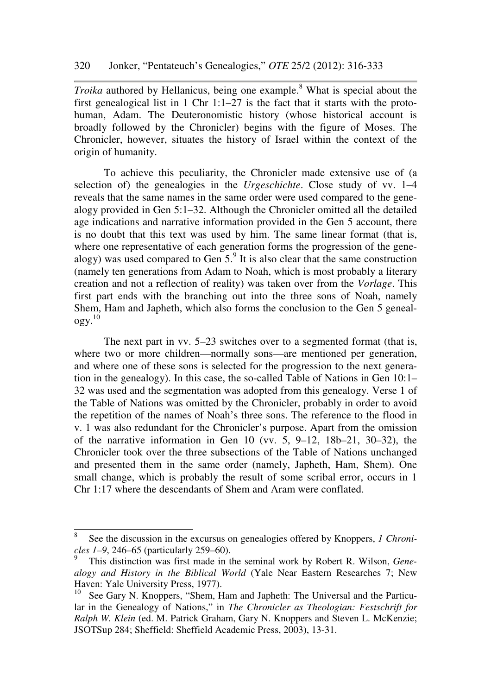*Troika* authored by Hellanicus, being one example.<sup>8</sup> What is special about the first genealogical list in 1 Chr 1:1–27 is the fact that it starts with the protohuman, Adam. The Deuteronomistic history (whose historical account is broadly followed by the Chronicler) begins with the figure of Moses. The Chronicler, however, situates the history of Israel within the context of the origin of humanity.

To achieve this peculiarity, the Chronicler made extensive use of (a selection of) the genealogies in the *Urgeschichte*. Close study of vv. 1–4 reveals that the same names in the same order were used compared to the genealogy provided in Gen 5:1–32. Although the Chronicler omitted all the detailed age indications and narrative information provided in the Gen 5 account, there is no doubt that this text was used by him. The same linear format (that is, where one representative of each generation forms the progression of the genealogy) was used compared to Gen  $5<sup>9</sup>$  It is also clear that the same construction (namely ten generations from Adam to Noah, which is most probably a literary creation and not a reflection of reality) was taken over from the *Vorlage*. This first part ends with the branching out into the three sons of Noah, namely Shem, Ham and Japheth, which also forms the conclusion to the Gen 5 genealogy. 10

The next part in vv. 5–23 switches over to a segmented format (that is, where two or more children—normally sons—are mentioned per generation, and where one of these sons is selected for the progression to the next generation in the genealogy). In this case, the so-called Table of Nations in Gen 10:1– 32 was used and the segmentation was adopted from this genealogy. Verse 1 of the Table of Nations was omitted by the Chronicler, probably in order to avoid the repetition of the names of Noah's three sons. The reference to the flood in v. 1 was also redundant for the Chronicler's purpose. Apart from the omission of the narrative information in Gen 10 (vv. 5, 9–12, 18b–21, 30–32), the Chronicler took over the three subsections of the Table of Nations unchanged and presented them in the same order (namely, Japheth, Ham, Shem). One small change, which is probably the result of some scribal error, occurs in 1 Chr 1:17 where the descendants of Shem and Aram were conflated.

<sup>8</sup> See the discussion in the excursus on genealogies offered by Knoppers, *1 Chronicles 1–9*, 246–65 (particularly 259–60).

<sup>9</sup> This distinction was first made in the seminal work by Robert R. Wilson, *Genealogy and History in the Biblical World* (Yale Near Eastern Researches 7; New Haven: Yale University Press, 1977).

 $10$  See Gary N. Knoppers, "Shem, Ham and Japheth: The Universal and the Particular in the Genealogy of Nations," in *The Chronicler as Theologian: Festschrift for Ralph W. Klein* (ed. M. Patrick Graham, Gary N. Knoppers and Steven L. McKenzie; JSOTSup 284; Sheffield: Sheffield Academic Press, 2003), 13-31.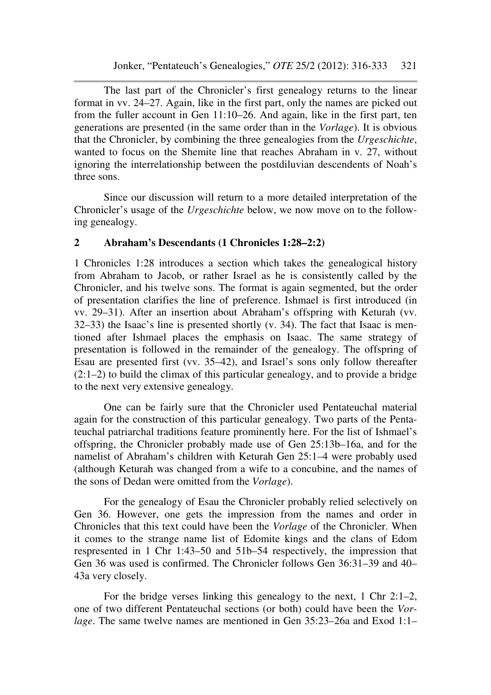The last part of the Chronicler's first genealogy returns to the linear format in vv. 24–27. Again, like in the first part, only the names are picked out from the fuller account in Gen 11:10–26. And again, like in the first part, ten generations are presented (in the same order than in the *Vorlage*). It is obvious that the Chronicler, by combining the three genealogies from the *Urgeschichte*, wanted to focus on the Shemite line that reaches Abraham in v. 27, without ignoring the interrelationship between the postdiluvian descendents of Noah's three sons.

Since our discussion will return to a more detailed interpretation of the Chronicler's usage of the *Urgeschichte* below, we now move on to the following genealogy.

## **2 Abraham's Descendants (1 Chronicles 1:28–2:2)**

1 Chronicles 1:28 introduces a section which takes the genealogical history from Abraham to Jacob, or rather Israel as he is consistently called by the Chronicler, and his twelve sons. The format is again segmented, but the order of presentation clarifies the line of preference. Ishmael is first introduced (in vv. 29–31). After an insertion about Abraham's offspring with Keturah (vv. 32–33) the Isaac's line is presented shortly (v. 34). The fact that Isaac is mentioned after Ishmael places the emphasis on Isaac. The same strategy of presentation is followed in the remainder of the genealogy. The offspring of Esau are presented first (vv. 35–42), and Israel's sons only follow thereafter (2:1–2) to build the climax of this particular genealogy, and to provide a bridge to the next very extensive genealogy.

One can be fairly sure that the Chronicler used Pentateuchal material again for the construction of this particular genealogy. Two parts of the Pentateuchal patriarchal traditions feature prominently here. For the list of Ishmael's offspring, the Chronicler probably made use of Gen 25:13b–16a, and for the namelist of Abraham's children with Keturah Gen 25:1–4 were probably used (although Keturah was changed from a wife to a concubine, and the names of the sons of Dedan were omitted from the *Vorlage*).

For the genealogy of Esau the Chronicler probably relied selectively on Gen 36. However, one gets the impression from the names and order in Chronicles that this text could have been the *Vorlage* of the Chronicler. When it comes to the strange name list of Edomite kings and the clans of Edom respresented in 1 Chr 1:43–50 and 51b–54 respectively, the impression that Gen 36 was used is confirmed. The Chronicler follows Gen 36:31–39 and 40– 43a very closely.

For the bridge verses linking this genealogy to the next, 1 Chr 2:1–2, one of two different Pentateuchal sections (or both) could have been the *Vorlage*. The same twelve names are mentioned in Gen 35:23–26a and Exod 1:1–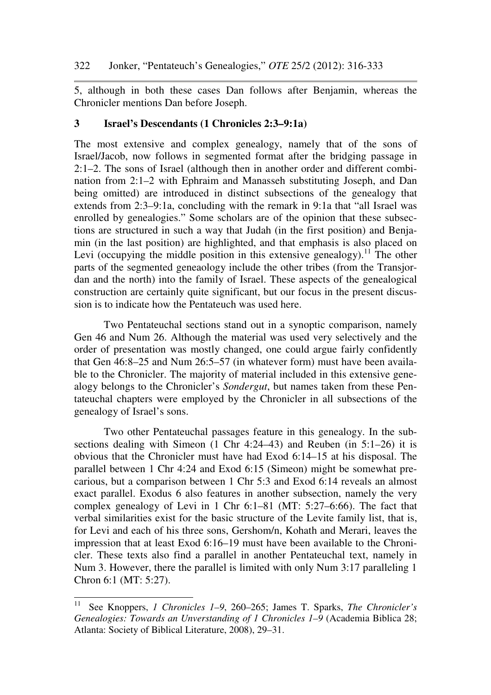5, although in both these cases Dan follows after Benjamin, whereas the Chronicler mentions Dan before Joseph.

## **3 Israel's Descendants (1 Chronicles 2:3–9:1a)**

The most extensive and complex genealogy, namely that of the sons of Israel/Jacob, now follows in segmented format after the bridging passage in 2:1–2. The sons of Israel (although then in another order and different combination from 2:1–2 with Ephraim and Manasseh substituting Joseph, and Dan being omitted) are introduced in distinct subsections of the genealogy that extends from 2:3–9:1a, concluding with the remark in 9:1a that "all Israel was enrolled by genealogies." Some scholars are of the opinion that these subsections are structured in such a way that Judah (in the first position) and Benjamin (in the last position) are highlighted, and that emphasis is also placed on Levi (occupying the middle position in this extensive genealogy).<sup>11</sup> The other parts of the segmented geneaology include the other tribes (from the Transjordan and the north) into the family of Israel. These aspects of the genealogical construction are certainly quite significant, but our focus in the present discussion is to indicate how the Pentateuch was used here.

Two Pentateuchal sections stand out in a synoptic comparison, namely Gen 46 and Num 26. Although the material was used very selectively and the order of presentation was mostly changed, one could argue fairly confidently that Gen 46:8–25 and Num 26:5–57 (in whatever form) must have been available to the Chronicler. The majority of material included in this extensive genealogy belongs to the Chronicler's *Sondergut*, but names taken from these Pentateuchal chapters were employed by the Chronicler in all subsections of the genealogy of Israel's sons.

Two other Pentateuchal passages feature in this genealogy. In the subsections dealing with Simeon (1 Chr 4:24–43) and Reuben (in 5:1–26) it is obvious that the Chronicler must have had Exod 6:14–15 at his disposal. The parallel between 1 Chr 4:24 and Exod 6:15 (Simeon) might be somewhat precarious, but a comparison between 1 Chr 5:3 and Exod 6:14 reveals an almost exact parallel. Exodus 6 also features in another subsection, namely the very complex genealogy of Levi in 1 Chr 6:1–81 (MT: 5:27–6:66). The fact that verbal similarities exist for the basic structure of the Levite family list, that is, for Levi and each of his three sons, Gershom/n, Kohath and Merari, leaves the impression that at least Exod 6:16–19 must have been available to the Chronicler. These texts also find a parallel in another Pentateuchal text, namely in Num 3. However, there the parallel is limited with only Num 3:17 paralleling 1 Chron 6:1 (MT: 5:27).

<sup>11</sup> See Knoppers, *1 Chronicles 1–9*, 260–265; James T. Sparks, *The Chronicler's Genealogies: Towards an Unverstanding of 1 Chronicles 1–9* (Academia Biblica 28; Atlanta: Society of Biblical Literature, 2008), 29–31.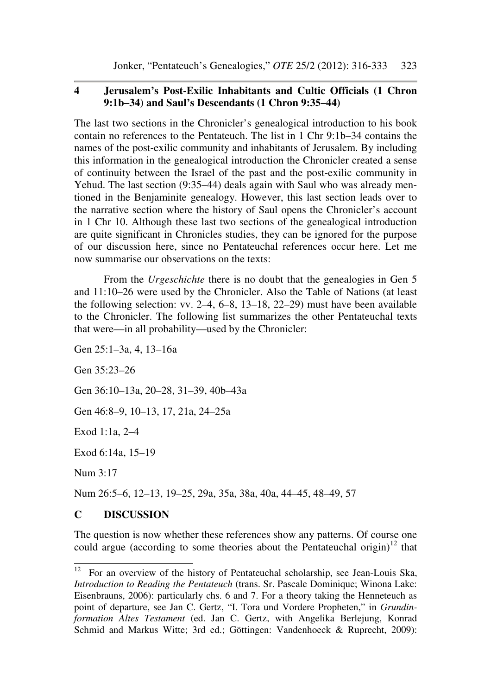## **4 Jerusalem's Post-Exilic Inhabitants and Cultic Officials (1 Chron 9:1b–34) and Saul's Descendants (1 Chron 9:35–44)**

The last two sections in the Chronicler's genealogical introduction to his book contain no references to the Pentateuch. The list in 1 Chr 9:1b–34 contains the names of the post-exilic community and inhabitants of Jerusalem. By including this information in the genealogical introduction the Chronicler created a sense of continuity between the Israel of the past and the post-exilic community in Yehud. The last section (9:35–44) deals again with Saul who was already mentioned in the Benjaminite genealogy. However, this last section leads over to the narrative section where the history of Saul opens the Chronicler's account in 1 Chr 10. Although these last two sections of the genealogical introduction are quite significant in Chronicles studies, they can be ignored for the purpose of our discussion here, since no Pentateuchal references occur here. Let me now summarise our observations on the texts:

From the *Urgeschichte* there is no doubt that the genealogies in Gen 5 and 11:10–26 were used by the Chronicler. Also the Table of Nations (at least the following selection: vv. 2–4, 6–8, 13–18, 22–29) must have been available to the Chronicler. The following list summarizes the other Pentateuchal texts that were—in all probability—used by the Chronicler:

Gen 25:1–3a, 4, 13–16a

Gen 35:23–26

Gen 36:10–13a, 20–28, 31–39, 40b–43a

Gen 46:8–9, 10–13, 17, 21a, 24–25a

Exod 1:1a, 2–4

Exod 6:14a, 15–19

Num 3:17

Num 26:5–6, 12–13, 19–25, 29a, 35a, 38a, 40a, 44–45, 48–49, 57

# **C DISCUSSION**

The question is now whether these references show any patterns. Of course one could argue (according to some theories about the Pentateuchal origin)<sup>12</sup> that

 $12$ <sup>12</sup> For an overview of the history of Pentateuchal scholarship, see Jean-Louis Ska, *Introduction to Reading the Pentateuch* (trans. Sr. Pascale Dominique; Winona Lake: Eisenbrauns, 2006): particularly chs. 6 and 7. For a theory taking the Henneteuch as point of departure, see Jan C. Gertz, "I. Tora und Vordere Propheten," in *Grundinformation Altes Testament* (ed. Jan C. Gertz, with Angelika Berlejung, Konrad Schmid and Markus Witte; 3rd ed.; Göttingen: Vandenhoeck & Ruprecht, 2009):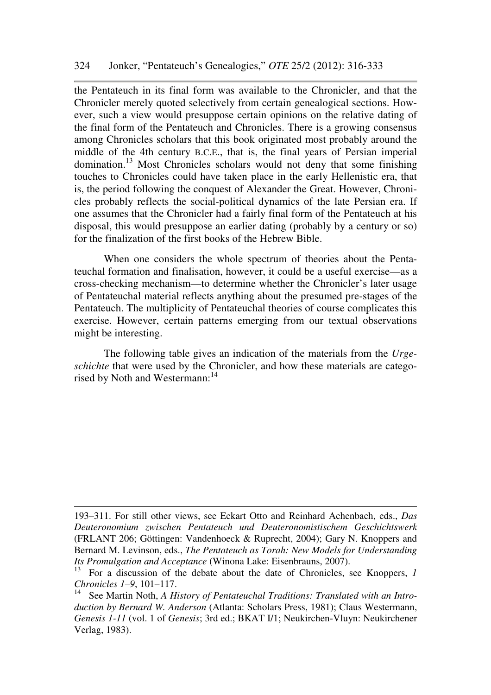the Pentateuch in its final form was available to the Chronicler, and that the Chronicler merely quoted selectively from certain genealogical sections. However, such a view would presuppose certain opinions on the relative dating of the final form of the Pentateuch and Chronicles. There is a growing consensus among Chronicles scholars that this book originated most probably around the middle of the 4th century B.C.E., that is, the final years of Persian imperial domination.<sup>13</sup> Most Chronicles scholars would not deny that some finishing touches to Chronicles could have taken place in the early Hellenistic era, that is, the period following the conquest of Alexander the Great. However, Chronicles probably reflects the social-political dynamics of the late Persian era. If one assumes that the Chronicler had a fairly final form of the Pentateuch at his disposal, this would presuppose an earlier dating (probably by a century or so) for the finalization of the first books of the Hebrew Bible.

When one considers the whole spectrum of theories about the Pentateuchal formation and finalisation, however, it could be a useful exercise—as a cross-checking mechanism—to determine whether the Chronicler's later usage of Pentateuchal material reflects anything about the presumed pre-stages of the Pentateuch. The multiplicity of Pentateuchal theories of course complicates this exercise. However, certain patterns emerging from our textual observations might be interesting.

The following table gives an indication of the materials from the *Urgeschichte* that were used by the Chronicler, and how these materials are categorised by Noth and Westermann:<sup>14</sup>

ı

<sup>193–311.</sup> For still other views, see Eckart Otto and Reinhard Achenbach, eds., *Das Deuteronomium zwischen Pentateuch und Deuteronomistischem Geschichtswerk* (FRLANT 206; Göttingen: Vandenhoeck & Ruprecht, 2004); Gary N. Knoppers and Bernard M. Levinson, eds., *The Pentateuch as Torah: New Models for Understanding Its Promulgation and Acceptance* (Winona Lake: Eisenbrauns, 2007).

<sup>&</sup>lt;sup>13</sup> For a discussion of the debate about the date of Chronicles, see Knoppers, *1 Chronicles 1–9*, 101–117.

See Martin Noth, *A History of Pentateuchal Traditions: Translated with an Introduction by Bernard W. Anderson* (Atlanta: Scholars Press, 1981); Claus Westermann, *Genesis 1-11* (vol. 1 of *Genesis*; 3rd ed.; BKAT I/1; Neukirchen-Vluyn: Neukirchener Verlag, 1983).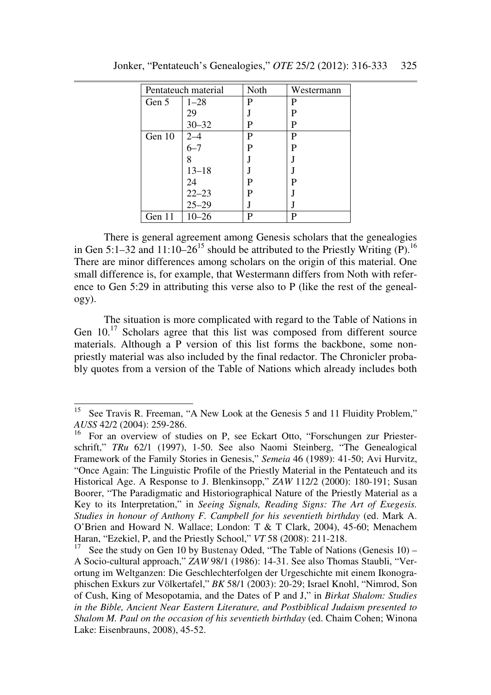| Pentateuch material |           | Noth | Westermann |
|---------------------|-----------|------|------------|
| Gen 5               | $1 - 28$  | P    | P          |
|                     | 29        |      | P          |
|                     | $30 - 32$ | P    | P          |
| Gen 10              | $2 - 4$   | P    | P          |
|                     | $6 - 7$   | P    | P          |
|                     |           |      |            |
|                     | $13 - 18$ |      |            |
|                     | 24        | P    |            |
|                     | $22 - 23$ | P    |            |
|                     | $25 - 29$ |      |            |
| Gen 11              | $10 - 26$ | P    |            |

Jonker, "Pentateuch's Genealogies," *OTE* 25/2 (2012): 316-333 325

There is general agreement among Genesis scholars that the genealogies in Gen 5:1–32 and 11:10–26<sup>15</sup> should be attributed to the Priestly Writing (P).<sup>16</sup> There are minor differences among scholars on the origin of this material. One small difference is, for example, that Westermann differs from Noth with reference to Gen 5:29 in attributing this verse also to P (like the rest of the genealogy).

The situation is more complicated with regard to the Table of Nations in Gen  $10^{17}$  Scholars agree that this list was composed from different source materials. Although a P version of this list forms the backbone, some nonpriestly material was also included by the final redactor. The Chronicler probably quotes from a version of the Table of Nations which already includes both

<sup>&</sup>lt;sup>15</sup> See Travis R. Freeman, "A New Look at the Genesis 5 and 11 Fluidity Problem," *AUSS* 42/2 (2004): 259-286.

<sup>&</sup>lt;sup>16</sup> For an overview of studies on P, see Eckart Otto, "Forschungen zur Priesterschrift," *TRu* 62/1 (1997), 1-50. See also Naomi Steinberg, "The Genealogical Framework of the Family Stories in Genesis," *Semeia* 46 (1989): 41-50; Avi Hurvitz, "Once Again: The Linguistic Profile of the Priestly Material in the Pentateuch and its Historical Age. A Response to J. Blenkinsopp," *ZAW* 112/2 (2000): 180-191; Susan Boorer, "The Paradigmatic and Historiographical Nature of the Priestly Material as a Key to its Interpretation," in *Seeing Signals, Reading Signs: The Art of Exegesis. Studies in honour of Anthony F. Campbell for his seventieth birthday* (ed. Mark A. O'Brien and Howard N. Wallace; London: T & T Clark, 2004), 45-60; Menachem Haran, "Ezekiel, P, and the Priestly School," *VT* 58 (2008): 211-218.

See the study on Gen 10 by Bustenay Oded, "The Table of Nations (Genesis  $10$ ) – A Socio-cultural approach," *ZAW* 98/1 (1986): 14-31. See also Thomas Staubli, "Verortung im Weltganzen: Die Geschlechterfolgen der Urgeschichte mit einem Ikonographischen Exkurs zur Völkertafel," *BK* 58/1 (2003): 20-29; Israel Knohl, "Nimrod, Son of Cush, King of Mesopotamia, and the Dates of P and J," in *Birkat Shalom: Studies in the Bible, Ancient Near Eastern Literature, and Postbiblical Judaism presented to Shalom M. Paul on the occasion of his seventieth birthday* (ed. Chaim Cohen; Winona Lake: Eisenbrauns, 2008), 45-52.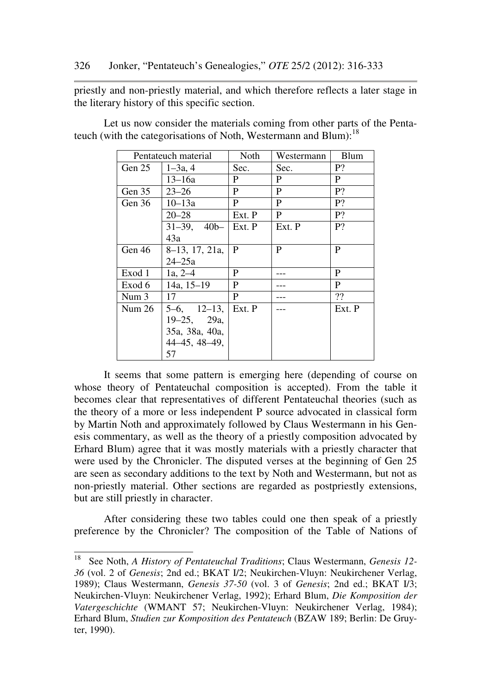priestly and non-priestly material, and which therefore reflects a later stage in the literary history of this specific section.

| Pentateuch material |                   | Noth   | Westermann   | <b>Blum</b> |
|---------------------|-------------------|--------|--------------|-------------|
| Gen 25              | $1 - 3a$ , 4      | Sec.   | Sec.         | P?          |
|                     | $13 - 16a$        | P      | P            | P           |
| Gen 35              | $23 - 26$         | P      | P            | P?          |
| Gen 36              | $10 - 13a$        | P      | P            | P?          |
|                     | $20 - 28$         | Ext. P | $\mathbf{P}$ | P?          |
|                     | $31-39$ , $40b-$  | Ext. P | Ext. P       | P?          |
|                     | 43a               |        |              |             |
| Gen 46              | 8–13, 17, 21a,    | P      | P            | P           |
|                     | $24 - 25a$        |        |              |             |
| Exod 1              | $1a, 2-4$         | P      |              | P           |
| Exod 6              | 14a, $15-19$      | P      |              | P           |
| Num <sub>3</sub>    | 17                | P      |              | ??          |
| Num 26              | $5-6$ , $12-13$ , | Ext. P |              | Ext. P      |
|                     | $19-25$ , $29a$   |        |              |             |
|                     | 35a, 38a, 40a,    |        |              |             |
|                     | 44–45, 48–49,     |        |              |             |
|                     | 57                |        |              |             |

Let us now consider the materials coming from other parts of the Pentateuch (with the categorisations of Noth, Westermann and Blum): $^{18}$ 

It seems that some pattern is emerging here (depending of course on whose theory of Pentateuchal composition is accepted). From the table it becomes clear that representatives of different Pentateuchal theories (such as the theory of a more or less independent P source advocated in classical form by Martin Noth and approximately followed by Claus Westermann in his Genesis commentary, as well as the theory of a priestly composition advocated by Erhard Blum) agree that it was mostly materials with a priestly character that were used by the Chronicler. The disputed verses at the beginning of Gen 25 are seen as secondary additions to the text by Noth and Westermann, but not as non-priestly material. Other sections are regarded as postpriestly extensions, but are still priestly in character.

After considering these two tables could one then speak of a priestly preference by the Chronicler? The composition of the Table of Nations of

ı

<sup>18</sup> See Noth, *A History of Pentateuchal Traditions*; Claus Westermann, *Genesis 12- 36* (vol. 2 of *Genesis*; 2nd ed.; BKAT I/2; Neukirchen-Vluyn: Neukirchener Verlag, 1989); Claus Westermann, *Genesis 37-50* (vol. 3 of *Genesis*; 2nd ed.; BKAT I/3; Neukirchen-Vluyn: Neukirchener Verlag, 1992); Erhard Blum, *Die Komposition der Vatergeschichte* (WMANT 57; Neukirchen-Vluyn: Neukirchener Verlag, 1984); Erhard Blum, *Studien zur Komposition des Pentateuch* (BZAW 189; Berlin: De Gruyter, 1990).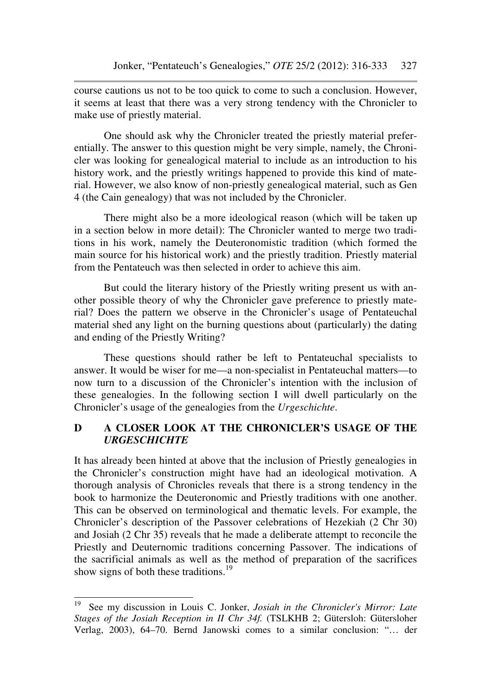course cautions us not to be too quick to come to such a conclusion. However, it seems at least that there was a very strong tendency with the Chronicler to make use of priestly material.

One should ask why the Chronicler treated the priestly material preferentially. The answer to this question might be very simple, namely, the Chronicler was looking for genealogical material to include as an introduction to his history work, and the priestly writings happened to provide this kind of material. However, we also know of non-priestly genealogical material, such as Gen 4 (the Cain genealogy) that was not included by the Chronicler.

There might also be a more ideological reason (which will be taken up in a section below in more detail): The Chronicler wanted to merge two traditions in his work, namely the Deuteronomistic tradition (which formed the main source for his historical work) and the priestly tradition. Priestly material from the Pentateuch was then selected in order to achieve this aim.

But could the literary history of the Priestly writing present us with another possible theory of why the Chronicler gave preference to priestly material? Does the pattern we observe in the Chronicler's usage of Pentateuchal material shed any light on the burning questions about (particularly) the dating and ending of the Priestly Writing?

These questions should rather be left to Pentateuchal specialists to answer. It would be wiser for me—a non-specialist in Pentateuchal matters—to now turn to a discussion of the Chronicler's intention with the inclusion of these genealogies. In the following section I will dwell particularly on the Chronicler's usage of the genealogies from the *Urgeschichte*.

# **D A CLOSER LOOK AT THE CHRONICLER'S USAGE OF THE**  *URGESCHICHTE*

It has already been hinted at above that the inclusion of Priestly genealogies in the Chronicler's construction might have had an ideological motivation. A thorough analysis of Chronicles reveals that there is a strong tendency in the book to harmonize the Deuteronomic and Priestly traditions with one another. This can be observed on terminological and thematic levels. For example, the Chronicler's description of the Passover celebrations of Hezekiah (2 Chr 30) and Josiah (2 Chr 35) reveals that he made a deliberate attempt to reconcile the Priestly and Deuternomic traditions concerning Passover. The indications of the sacrificial animals as well as the method of preparation of the sacrifices show signs of both these traditions.<sup>19</sup>

<sup>19</sup> See my discussion in Louis C. Jonker, *Josiah in the Chronicler's Mirror: Late Stages of the Josiah Reception in II Chr 34f.* (TSLKHB 2; Gütersloh: Gütersloher Verlag, 2003), 64–70. Bernd Janowski comes to a similar conclusion: "… der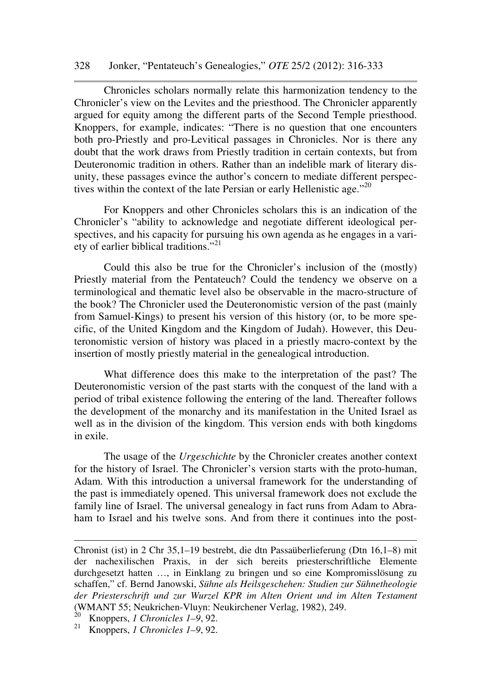#### 328 Jonker, "Pentateuch's Genealogies," *OTE* 25/2 (2012): 316-333

Chronicles scholars normally relate this harmonization tendency to the Chronicler's view on the Levites and the priesthood. The Chronicler apparently argued for equity among the different parts of the Second Temple priesthood. Knoppers, for example, indicates: "There is no question that one encounters both pro-Priestly and pro-Levitical passages in Chronicles. Nor is there any doubt that the work draws from Priestly tradition in certain contexts, but from Deuteronomic tradition in others. Rather than an indelible mark of literary disunity, these passages evince the author's concern to mediate different perspectives within the context of the late Persian or early Hellenistic age."<sup>20</sup>

For Knoppers and other Chronicles scholars this is an indication of the Chronicler's "ability to acknowledge and negotiate different ideological perspectives, and his capacity for pursuing his own agenda as he engages in a variety of earlier biblical traditions."<sup>21</sup>

Could this also be true for the Chronicler's inclusion of the (mostly) Priestly material from the Pentateuch? Could the tendency we observe on a terminological and thematic level also be observable in the macro-structure of the book? The Chronicler used the Deuteronomistic version of the past (mainly from Samuel-Kings) to present his version of this history (or, to be more specific, of the United Kingdom and the Kingdom of Judah). However, this Deuteronomistic version of history was placed in a priestly macro-context by the insertion of mostly priestly material in the genealogical introduction.

What difference does this make to the interpretation of the past? The Deuteronomistic version of the past starts with the conquest of the land with a period of tribal existence following the entering of the land. Thereafter follows the development of the monarchy and its manifestation in the United Israel as well as in the division of the kingdom. This version ends with both kingdoms in exile.

The usage of the *Urgeschichte* by the Chronicler creates another context for the history of Israel. The Chronicler's version starts with the proto-human, Adam. With this introduction a universal framework for the understanding of the past is immediately opened. This universal framework does not exclude the family line of Israel. The universal genealogy in fact runs from Adam to Abraham to Israel and his twelve sons. And from there it continues into the post-

Chronist (ist) in 2 Chr 35,1–19 bestrebt, die dtn Passaüberlieferung (Dtn 16,1–8) mit der nachexilischen Praxis, in der sich bereits priesterschriftliche Elemente durchgesetzt hatten …, in Einklang zu bringen und so eine Kompromisslösung zu schaffen," cf. Bernd Janowski, *Sühne als Heilsgeschehen: Studien zur Sühnetheologie der Priesterschrift und zur Wurzel KPR im Alten Orient und im Alten Testament* (WMANT 55; Neukrichen-Vluyn: Neukirchener Verlag, 1982), 249.

<sup>20</sup> Knoppers, *1 Chronicles 1–9*, 92.

<sup>21</sup> Knoppers, *1 Chronicles 1–9*, 92.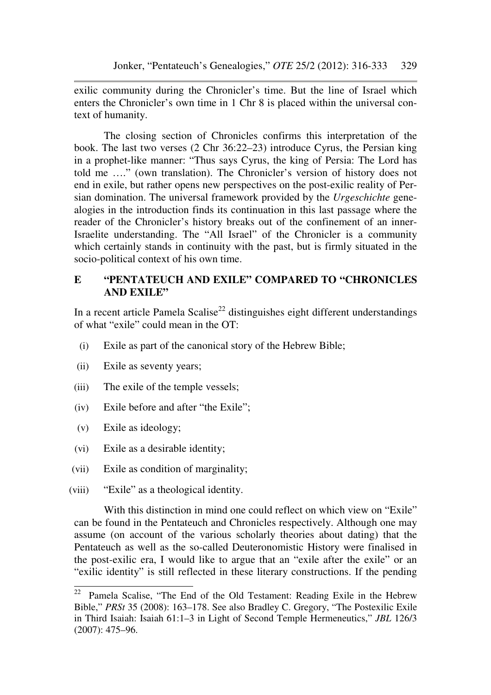exilic community during the Chronicler's time. But the line of Israel which enters the Chronicler's own time in 1 Chr 8 is placed within the universal context of humanity.

The closing section of Chronicles confirms this interpretation of the book. The last two verses (2 Chr 36:22–23) introduce Cyrus, the Persian king in a prophet-like manner: "Thus says Cyrus, the king of Persia: The Lord has told me …." (own translation). The Chronicler's version of history does not end in exile, but rather opens new perspectives on the post-exilic reality of Persian domination. The universal framework provided by the *Urgeschichte* genealogies in the introduction finds its continuation in this last passage where the reader of the Chronicler's history breaks out of the confinement of an inner-Israelite understanding. The "All Israel" of the Chronicler is a community which certainly stands in continuity with the past, but is firmly situated in the socio-political context of his own time.

## **E "PENTATEUCH AND EXILE" COMPARED TO "CHRONICLES AND EXILE"**

In a recent article Pamela Scalise<sup>22</sup> distinguishes eight different understandings of what "exile" could mean in the OT:

- (i) Exile as part of the canonical story of the Hebrew Bible;
- (ii) Exile as seventy years;
- (iii) The exile of the temple vessels;
- (iv) Exile before and after "the Exile";
- (v) Exile as ideology;

l

- (vi) Exile as a desirable identity;
- (vii) Exile as condition of marginality;
- (viii) "Exile" as a theological identity.

With this distinction in mind one could reflect on which view on "Exile" can be found in the Pentateuch and Chronicles respectively. Although one may assume (on account of the various scholarly theories about dating) that the Pentateuch as well as the so-called Deuteronomistic History were finalised in the post-exilic era, I would like to argue that an "exile after the exile" or an "exilic identity" is still reflected in these literary constructions. If the pending

<sup>22</sup> Pamela Scalise, "The End of the Old Testament: Reading Exile in the Hebrew Bible," *PRSt* 35 (2008): 163–178. See also Bradley C. Gregory, "The Postexilic Exile in Third Isaiah: Isaiah 61:1–3 in Light of Second Temple Hermeneutics," *JBL* 126/3 (2007): 475–96.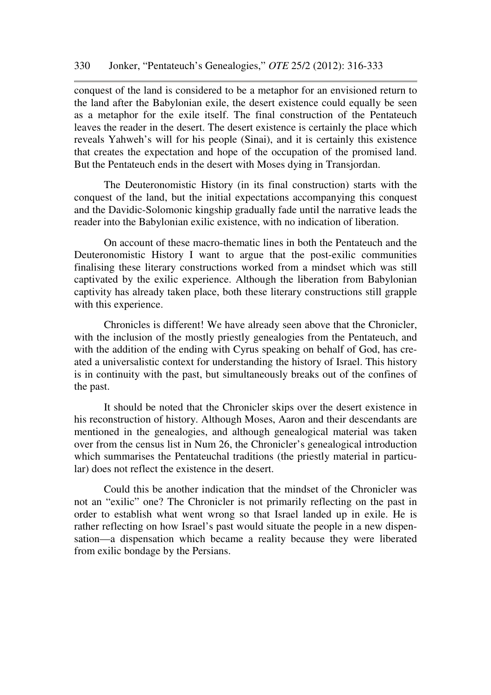conquest of the land is considered to be a metaphor for an envisioned return to the land after the Babylonian exile, the desert existence could equally be seen as a metaphor for the exile itself. The final construction of the Pentateuch leaves the reader in the desert. The desert existence is certainly the place which reveals Yahweh's will for his people (Sinai), and it is certainly this existence that creates the expectation and hope of the occupation of the promised land. But the Pentateuch ends in the desert with Moses dying in Transjordan.

The Deuteronomistic History (in its final construction) starts with the conquest of the land, but the initial expectations accompanying this conquest and the Davidic-Solomonic kingship gradually fade until the narrative leads the reader into the Babylonian exilic existence, with no indication of liberation.

On account of these macro-thematic lines in both the Pentateuch and the Deuteronomistic History I want to argue that the post-exilic communities finalising these literary constructions worked from a mindset which was still captivated by the exilic experience. Although the liberation from Babylonian captivity has already taken place, both these literary constructions still grapple with this experience.

Chronicles is different! We have already seen above that the Chronicler, with the inclusion of the mostly priestly genealogies from the Pentateuch, and with the addition of the ending with Cyrus speaking on behalf of God, has created a universalistic context for understanding the history of Israel. This history is in continuity with the past, but simultaneously breaks out of the confines of the past.

It should be noted that the Chronicler skips over the desert existence in his reconstruction of history. Although Moses, Aaron and their descendants are mentioned in the genealogies, and although genealogical material was taken over from the census list in Num 26, the Chronicler's genealogical introduction which summarises the Pentateuchal traditions (the priestly material in particular) does not reflect the existence in the desert.

Could this be another indication that the mindset of the Chronicler was not an "exilic" one? The Chronicler is not primarily reflecting on the past in order to establish what went wrong so that Israel landed up in exile. He is rather reflecting on how Israel's past would situate the people in a new dispensation—a dispensation which became a reality because they were liberated from exilic bondage by the Persians.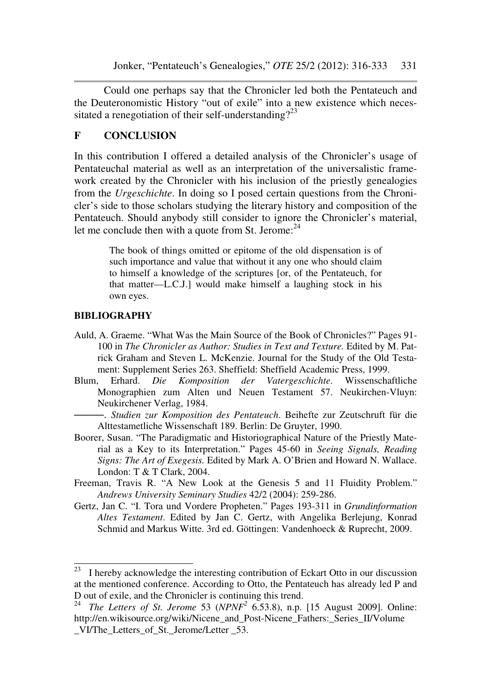Could one perhaps say that the Chronicler led both the Pentateuch and the Deuteronomistic History "out of exile" into a new existence which necessitated a renegotiation of their self-understanding?<sup>23</sup>

## **F CONCLUSION**

In this contribution I offered a detailed analysis of the Chronicler's usage of Pentateuchal material as well as an interpretation of the universalistic framework created by the Chronicler with his inclusion of the priestly genealogies from the *Urgeschichte*. In doing so I posed certain questions from the Chronicler's side to those scholars studying the literary history and composition of the Pentateuch. Should anybody still consider to ignore the Chronicler's material, let me conclude then with a quote from St. Jerome: $^{24}$ 

> The book of things omitted or epitome of the old dispensation is of such importance and value that without it any one who should claim to himself a knowledge of the scriptures [or, of the Pentateuch, for that matter—L.C.J.] would make himself a laughing stock in his own eyes.

## **BIBLIOGRAPHY**

- Auld, A. Graeme. "What Was the Main Source of the Book of Chronicles?" Pages 91- 100 in *The Chronicler as Author: Studies in Text and Texture.* Edited by M. Patrick Graham and Steven L. McKenzie. Journal for the Study of the Old Testament: Supplement Series 263. Sheffield: Sheffield Academic Press, 1999.
- Blum, Erhard. *Die Komposition der Vatergeschichte*. Wissenschaftliche Monographien zum Alten und Neuen Testament 57. Neukirchen-Vluyn: Neukirchener Verlag, 1984.

———. *Studien zur Komposition des Pentateuch*. Beihefte zur Zeutschruft für die Alttestametliche Wissenschaft 189. Berlin: De Gruyter, 1990.

- Boorer, Susan. "The Paradigmatic and Historiographical Nature of the Priestly Material as a Key to its Interpretation." Pages 45-60 in *Seeing Signals, Reading Signs: The Art of Exegesis.* Edited by Mark A. O'Brien and Howard N. Wallace. London: T & T Clark, 2004.
- Freeman, Travis R. "A New Look at the Genesis 5 and 11 Fluidity Problem." *Andrews University Seminary Studies* 42/2 (2004): 259-286.
- Gertz, Jan C. "I. Tora und Vordere Propheten." Pages 193-311 in *Grundinformation Altes Testament*. Edited by Jan C. Gertz, with Angelika Berlejung, Konrad Schmid and Markus Witte. 3rd ed. Göttingen: Vandenhoeck & Ruprecht, 2009.

<sup>23</sup> I hereby acknowledge the interesting contribution of Eckart Otto in our discussion at the mentioned conference. According to Otto, the Pentateuch has already led P and D out of exile, and the Chronicler is continuing this trend.

<sup>24</sup> *The Letters of St. Jerome* 53 (*NPNF<sup>2</sup>* 6.53.8), n.p. [15 August 2009]. Online: http://en.wikisource.org/wiki/Nicene\_and\_Post-Nicene\_Fathers:\_Series\_II/Volume VI/The Letters of St. Jerome/Letter 53.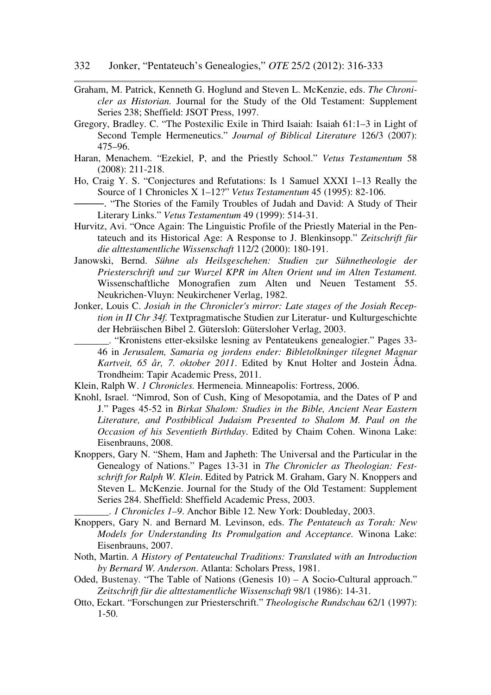- Graham, M. Patrick, Kenneth G. Hoglund and Steven L. McKenzie, eds. *The Chronicler as Historian.* Journal for the Study of the Old Testament: Supplement Series 238; Sheffield: JSOT Press, 1997.
- Gregory, Bradley. C. "The Postexilic Exile in Third Isaiah: Isaiah 61:1–3 in Light of Second Temple Hermeneutics." *Journal of Biblical Literature* 126/3 (2007): 475–96.
- Haran, Menachem. "Ezekiel, P, and the Priestly School." *Vetus Testamentum* 58 (2008): 211-218.
- Ho, Craig Y. S. "Conjectures and Refutations: Is 1 Samuel XXXI 1–13 Really the Source of 1 Chronicles X 1–12?" *Vetus Testamentum* 45 (1995): 82-106.
- ———. "The Stories of the Family Troubles of Judah and David: A Study of Their Literary Links." *Vetus Testamentum* 49 (1999): 514-31.
- Hurvitz, Avi. "Once Again: The Linguistic Profile of the Priestly Material in the Pentateuch and its Historical Age: A Response to J. Blenkinsopp." *Zeitschrift für die alttestamentliche Wissenschaft* 112/2 (2000): 180-191.
- Janowski, Bernd. *Sühne als Heilsgeschehen: Studien zur Sühnetheologie der Priesterschrift und zur Wurzel KPR im Alten Orient und im Alten Testament.* Wissenschaftliche Monografien zum Alten und Neuen Testament 55. Neukrichen-Vluyn: Neukirchener Verlag, 1982.
- Jonker, Louis C. *Josiah in the Chronicler's mirror: Late stages of the Josiah Reception in II Chr 34f.* Textpragmatische Studien zur Literatur- und Kulturgeschichte der Hebräischen Bibel 2. Gütersloh: Gütersloher Verlag, 2003.
	- \_\_\_\_\_\_\_. "Kronistens etter-eksilske lesning av Pentateukens genealogier." Pages 33- 46 in *Jerusalem, Samaria og jordens ender: Bibletolkninger tilegnet Magnar Kartveit, 65 år, 7. oktober 2011*. Edited by Knut Holter and Jostein Ådna. Trondheim: Tapir Academic Press, 2011.
- Klein, Ralph W. *1 Chronicles.* Hermeneia. Minneapolis: Fortress, 2006.
- Knohl, Israel. "Nimrod, Son of Cush, King of Mesopotamia, and the Dates of P and J." Pages 45-52 in *Birkat Shalom: Studies in the Bible, Ancient Near Eastern Literature, and Postbiblical Judaism Presented to Shalom M. Paul on the Occasion of his Seventieth Birthday*. Edited by Chaim Cohen. Winona Lake: Eisenbrauns, 2008.
- Knoppers, Gary N. "Shem, Ham and Japheth: The Universal and the Particular in the Genealogy of Nations." Pages 13-31 in *The Chronicler as Theologian: Festschrift for Ralph W. Klein*. Edited by Patrick M. Graham, Gary N. Knoppers and Steven L. McKenzie. Journal for the Study of the Old Testament: Supplement Series 284. Sheffield: Sheffield Academic Press, 2003.

\_\_\_\_\_\_\_. *1 Chronicles 1–9*. Anchor Bible 12. New York: Doubleday, 2003.

- Knoppers, Gary N. and Bernard M. Levinson, eds. *The Pentateuch as Torah: New Models for Understanding Its Promulgation and Acceptance.* Winona Lake: Eisenbrauns, 2007.
- Noth, Martin. *A History of Pentateuchal Traditions: Translated with an Introduction by Bernard W. Anderson*. Atlanta: Scholars Press, 1981.
- Oded, Bustenay. "The Table of Nations (Genesis 10) A Socio-Cultural approach." *Zeitschrift für die alttestamentliche Wissenschaft* 98/1 (1986): 14-31.
- Otto, Eckart. "Forschungen zur Priesterschrift." *Theologische Rundschau* 62/1 (1997): 1-50.